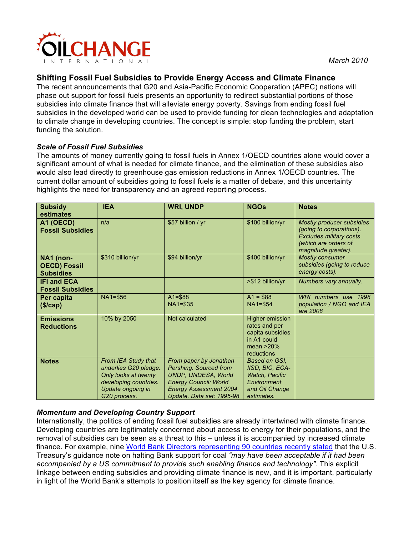

# **Shifting Fossil Fuel Subsidies to Provide Energy Access and Climate Finance**

The recent announcements that G20 and Asia-Pacific Economic Cooperation (APEC) nations will phase out support for fossil fuels presents an opportunity to redirect substantial portions of those subsidies into climate finance that will alleviate energy poverty. Savings from ending fossil fuel subsidies in the developed world can be used to provide funding for clean technologies and adaptation to climate change in developing countries. The concept is simple: stop funding the problem, start funding the solution.

### *Scale of Fossil Fuel Subsidies*

The amounts of money currently going to fossil fuels in Annex 1/OECD countries alone would cover a significant amount of what is needed for climate finance, and the elimination of these subsidies also would also lead directly to greenhouse gas emission reductions in Annex 1/OECD countries. The current dollar amount of subsidies going to fossil fuels is a matter of debate, and this uncertainty highlights the need for transparency and an agreed reporting process.

| <b>Subsidy</b><br>estimates                          | <b>IEA</b>                                                                                                                         | <b>WRI, UNDP</b>                                                                                                                                                      | <b>NGOs</b>                                                                                              | <b>Notes</b>                                                                                                                                  |
|------------------------------------------------------|------------------------------------------------------------------------------------------------------------------------------------|-----------------------------------------------------------------------------------------------------------------------------------------------------------------------|----------------------------------------------------------------------------------------------------------|-----------------------------------------------------------------------------------------------------------------------------------------------|
| A1 (OECD)<br><b>Fossil Subsidies</b>                 | n/a                                                                                                                                | \$57 billion / yr                                                                                                                                                     | \$100 billion/yr                                                                                         | <b>Mostly producer subsidies</b><br>(going to corporations).<br><b>Excludes military costs</b><br>(which are orders of<br>magnitude greater). |
| NA1 (non-<br><b>OECD) Fossil</b><br><b>Subsidies</b> | \$310 billion/yr                                                                                                                   | \$94 billion/yr                                                                                                                                                       | \$400 billion/yr                                                                                         | <b>Mostly consumer</b><br>subsidies (going to reduce<br>energy costs).                                                                        |
| <b>IFI and ECA</b><br><b>Fossil Subsidies</b>        |                                                                                                                                    |                                                                                                                                                                       | >\$12 billion/yr                                                                                         | Numbers vary annually.                                                                                                                        |
| Per capita<br>$(\frac{1}{2})cap)$                    | NA1=\$56                                                                                                                           | $A1 = $88$<br>$NA1 = $35$                                                                                                                                             | $A1 = $88$<br>$NA1 = $54$                                                                                | WRI numbers use 1998<br>population / NGO and IEA<br>are 2008                                                                                  |
| <b>Emissions</b><br><b>Reductions</b>                | 10% by 2050                                                                                                                        | Not calculated                                                                                                                                                        | <b>Higher emission</b><br>rates and per<br>capita subsidies<br>in A1 could<br>mean $>20\%$<br>reductions |                                                                                                                                               |
| <b>Notes</b>                                         | From IEA Study that<br>underlies G20 pledge.<br>Only looks at twenty<br>developing countries.<br>Update ongoing in<br>G20 process. | From paper by Jonathan<br>Pershing. Sourced from<br>UNDP, UNDESA, World<br><b>Energy Council: World</b><br><b>Energy Assessment 2004</b><br>Update. Data set: 1995-98 | Based on GSI.<br>IISD, BIC, ECA-<br>Watch, Pacific<br>Environment<br>and Oil Change<br>estimates.        |                                                                                                                                               |

## *Momentum and Developing Country Support*

Internationally, the politics of ending fossil fuel subsidies are already intertwined with climate finance. Developing countries are legitimately concerned about access to energy for their populations, and the removal of subsidies can be seen as a threat to this – unless it is accompanied by increased climate finance. For example, nine World Bank Directors representing 90 countries recently stated that the U.S. Treasury's guidance note on halting Bank support for coal *"may have been acceptable if it had been accompanied by a US commitment to provide such enabling finance and technology".* This explicit linkage between ending subsidies and providing climate finance is new, and it is important, particularly in light of the World Bank's attempts to position itself as the key agency for climate finance.